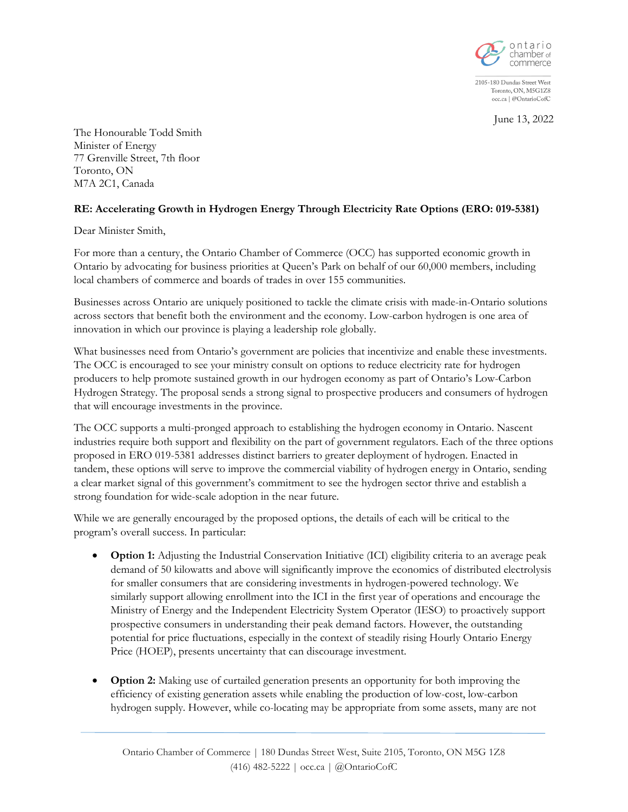

2105-180 Dundas Street West Toronto, ON, M5G1Z8 occ.ca | @OntarioCofC

June 13, 2022

The Honourable Todd Smith Minister of Energy 77 Grenville Street, 7th floor Toronto, ON M7A 2C1, Canada

## **RE: Accelerating Growth in Hydrogen Energy Through Electricity Rate Options (ERO: 019-5381)**

Dear Minister Smith,

For more than a century, the Ontario Chamber of Commerce (OCC) has supported economic growth in Ontario by advocating for business priorities at Queen's Park on behalf of our 60,000 members, including local chambers of commerce and boards of trades in over 155 communities.

Businesses across Ontario are uniquely positioned to tackle the climate crisis with made-in-Ontario solutions across sectors that benefit both the environment and the economy. Low-carbon hydrogen is one area of innovation in which our province is playing a leadership role globally.

What businesses need from Ontario's government are policies that incentivize and enable these investments. The OCC is encouraged to see your ministry consult on options to reduce electricity rate for hydrogen producers to help promote sustained growth in our hydrogen economy as part of Ontario's Low-Carbon Hydrogen Strategy. The proposal sends a strong signal to prospective producers and consumers of hydrogen that will encourage investments in the province.

The OCC supports a multi-pronged approach to establishing the hydrogen economy in Ontario. Nascent industries require both support and flexibility on the part of government regulators. Each of the three options proposed in ERO 019-5381 addresses distinct barriers to greater deployment of hydrogen. Enacted in tandem, these options will serve to improve the commercial viability of hydrogen energy in Ontario, sending a clear market signal of this government's commitment to see the hydrogen sector thrive and establish a strong foundation for wide-scale adoption in the near future.

While we are generally encouraged by the proposed options, the details of each will be critical to the program's overall success. In particular:

- **Option 1:** Adjusting the Industrial Conservation Initiative (ICI) eligibility criteria to an average peak demand of 50 kilowatts and above will significantly improve the economics of distributed electrolysis for smaller consumers that are considering investments in hydrogen-powered technology. We similarly support allowing enrollment into the ICI in the first year of operations and encourage the Ministry of Energy and the Independent Electricity System Operator (IESO) to proactively support prospective consumers in understanding their peak demand factors. However, the outstanding potential for price fluctuations, especially in the context of steadily rising Hourly Ontario Energy Price (HOEP), presents uncertainty that can discourage investment.
- **Option 2:** Making use of curtailed generation presents an opportunity for both improving the efficiency of existing generation assets while enabling the production of low-cost, low-carbon hydrogen supply. However, while co-locating may be appropriate from some assets, many are not